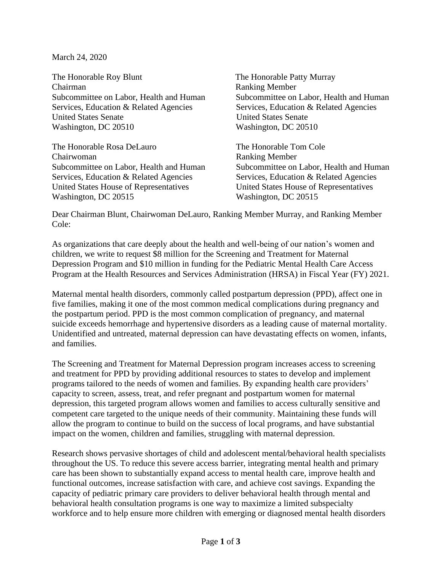March 24, 2020

The Honorable Roy Blunt The Honorable Patty Murray Chairman Ranking Member Subcommittee on Labor, Health and Human Subcommittee on Labor, Health and Human Services, Education & Related Agencies Services, Education & Related Agencies United States Senate United States Senate Washington, DC 20510 Washington, DC 20510

The Honorable Rosa DeLauro The Honorable Tom Cole Chairwoman Ranking Member Subcommittee on Labor, Health and Human Subcommittee on Labor, Health and Human Services, Education & Related Agencies Services, Education & Related Agencies United States House of Representatives United States House of Representatives Washington, DC 20515 Washington, DC 20515

Dear Chairman Blunt, Chairwoman DeLauro, Ranking Member Murray, and Ranking Member Cole:

As organizations that care deeply about the health and well-being of our nation's women and children, we write to request \$8 million for the Screening and Treatment for Maternal Depression Program and \$10 million in funding for the Pediatric Mental Health Care Access Program at the Health Resources and Services Administration (HRSA) in Fiscal Year (FY) 2021.

Maternal mental health disorders, commonly called postpartum depression (PPD), affect one in five families, making it one of the most common medical complications during pregnancy and the postpartum period. PPD is the most common complication of pregnancy, and maternal suicide exceeds hemorrhage and hypertensive disorders as a leading cause of maternal mortality. Unidentified and untreated, maternal depression can have devastating effects on women, infants, and families.

The Screening and Treatment for Maternal Depression program increases access to screening and treatment for PPD by providing additional resources to states to develop and implement programs tailored to the needs of women and families. By expanding health care providers' capacity to screen, assess, treat, and refer pregnant and postpartum women for maternal depression, this targeted program allows women and families to access culturally sensitive and competent care targeted to the unique needs of their community. Maintaining these funds will allow the program to continue to build on the success of local programs, and have substantial impact on the women, children and families, struggling with maternal depression.

Research shows pervasive shortages of child and adolescent mental/behavioral health specialists throughout the US. To reduce this severe access barrier, integrating mental health and primary care has been shown to substantially expand access to mental health care, improve health and functional outcomes, increase satisfaction with care, and achieve cost savings. Expanding the capacity of pediatric primary care providers to deliver behavioral health through mental and behavioral health consultation programs is one way to maximize a limited subspecialty workforce and to help ensure more children with emerging or diagnosed mental health disorders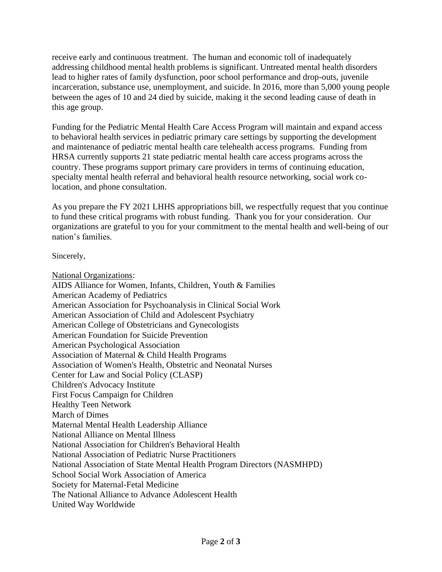receive early and continuous treatment. The human and economic toll of inadequately addressing childhood mental health problems is significant. Untreated mental health disorders lead to higher rates of family dysfunction, poor school performance and drop-outs, juvenile incarceration, substance use, unemployment, and suicide. In 2016, more than 5,000 young people between the ages of 10 and 24 died by suicide, making it the second leading cause of death in this age group.

Funding for the Pediatric Mental Health Care Access Program will maintain and expand access to behavioral health services in pediatric primary care settings by supporting the development and maintenance of pediatric mental health care telehealth access programs. Funding from HRSA currently supports 21 state pediatric mental health care access programs across the country. These programs support primary care providers in terms of continuing education, specialty mental health referral and behavioral health resource networking, social work colocation, and phone consultation.

As you prepare the FY 2021 LHHS appropriations bill, we respectfully request that you continue to fund these critical programs with robust funding. Thank you for your consideration. Our organizations are grateful to you for your commitment to the mental health and well-being of our nation's families.

Sincerely,

National Organizations: AIDS Alliance for Women, Infants, Children, Youth & Families American Academy of Pediatrics American Association for Psychoanalysis in Clinical Social Work American Association of Child and Adolescent Psychiatry American College of Obstetricians and Gynecologists American Foundation for Suicide Prevention American Psychological Association Association of Maternal & Child Health Programs Association of Women's Health, Obstetric and Neonatal Nurses Center for Law and Social Policy (CLASP) Children's Advocacy Institute First Focus Campaign for Children Healthy Teen Network March of Dimes Maternal Mental Health Leadership Alliance National Alliance on Mental Illness National Association for Children's Behavioral Health National Association of Pediatric Nurse Practitioners National Association of State Mental Health Program Directors (NASMHPD) School Social Work Association of America Society for Maternal-Fetal Medicine The National Alliance to Advance Adolescent Health United Way Worldwide